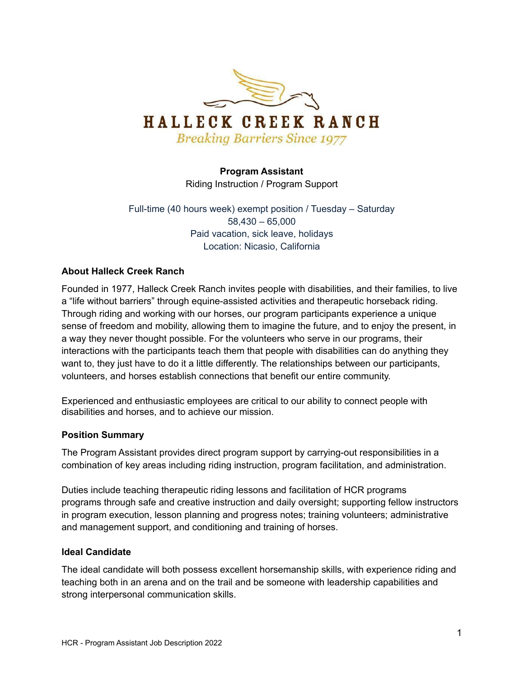

## **Program Assistant**

Riding Instruction / Program Support

Full-time (40 hours week) exempt position / Tuesday – Saturday 58,430 – 65,000 Paid vacation, sick leave, holidays Location: Nicasio, California

#### **About Halleck Creek Ranch**

Founded in 1977, Halleck Creek Ranch invites people with disabilities, and their families, to live a "life without barriers" through equine-assisted activities and therapeutic horseback riding. Through riding and working with our horses, our program participants experience a unique sense of freedom and mobility, allowing them to imagine the future, and to enjoy the present, in a way they never thought possible. For the volunteers who serve in our programs, their interactions with the participants teach them that people with disabilities can do anything they want to, they just have to do it a little differently. The relationships between our participants, volunteers, and horses establish connections that benefit our entire community.

Experienced and enthusiastic employees are critical to our ability to connect people with disabilities and horses, and to achieve our mission.

#### **Position Summary**

The Program Assistant provides direct program support by carrying-out responsibilities in a combination of key areas including riding instruction, program facilitation, and administration.

Duties include teaching therapeutic riding lessons and facilitation of HCR programs programs through safe and creative instruction and daily oversight; supporting fellow instructors in program execution, lesson planning and progress notes; training volunteers; administrative and management support, and conditioning and training of horses.

#### **Ideal Candidate**

The ideal candidate will both possess excellent horsemanship skills, with experience riding and teaching both in an arena and on the trail and be someone with leadership capabilities and strong interpersonal communication skills.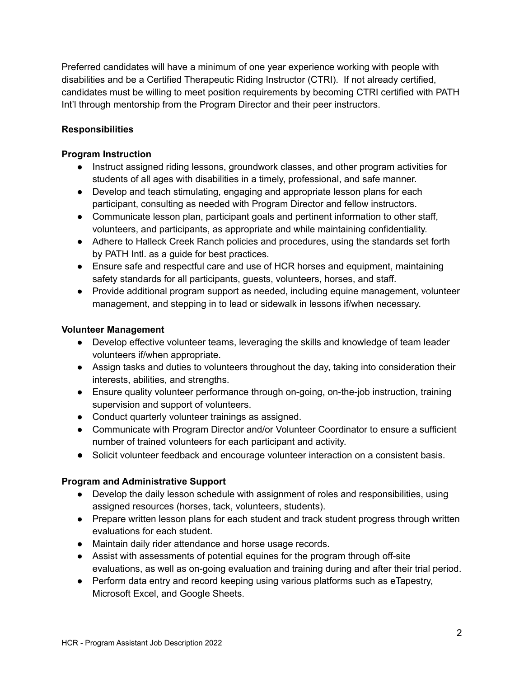Preferred candidates will have a minimum of one year experience working with people with disabilities and be a Certified Therapeutic Riding Instructor (CTRI). If not already certified, candidates must be willing to meet position requirements by becoming CTRI certified with PATH Int'l through mentorship from the Program Director and their peer instructors.

#### **Responsibilities**

#### **Program Instruction**

- Instruct assigned riding lessons, groundwork classes, and other program activities for students of all ages with disabilities in a timely, professional, and safe manner.
- Develop and teach stimulating, engaging and appropriate lesson plans for each participant, consulting as needed with Program Director and fellow instructors.
- Communicate lesson plan, participant goals and pertinent information to other staff, volunteers, and participants, as appropriate and while maintaining confidentiality.
- Adhere to Halleck Creek Ranch policies and procedures, using the standards set forth by PATH Intl. as a guide for best practices.
- Ensure safe and respectful care and use of HCR horses and equipment, maintaining safety standards for all participants, guests, volunteers, horses, and staff.
- Provide additional program support as needed, including equine management, volunteer management, and stepping in to lead or sidewalk in lessons if/when necessary.

#### **Volunteer Management**

- Develop effective volunteer teams, leveraging the skills and knowledge of team leader volunteers if/when appropriate.
- Assign tasks and duties to volunteers throughout the day, taking into consideration their interests, abilities, and strengths.
- Ensure quality volunteer performance through on-going, on-the-job instruction, training supervision and support of volunteers.
- Conduct quarterly volunteer trainings as assigned.
- Communicate with Program Director and/or Volunteer Coordinator to ensure a sufficient number of trained volunteers for each participant and activity.
- Solicit volunteer feedback and encourage volunteer interaction on a consistent basis.

## **Program and Administrative Support**

- Develop the daily lesson schedule with assignment of roles and responsibilities, using assigned resources (horses, tack, volunteers, students).
- Prepare written lesson plans for each student and track student progress through written evaluations for each student.
- Maintain daily rider attendance and horse usage records.
- Assist with assessments of potential equines for the program through off-site evaluations, as well as on-going evaluation and training during and after their trial period.
- Perform data entry and record keeping using various platforms such as eTapestry, Microsoft Excel, and Google Sheets.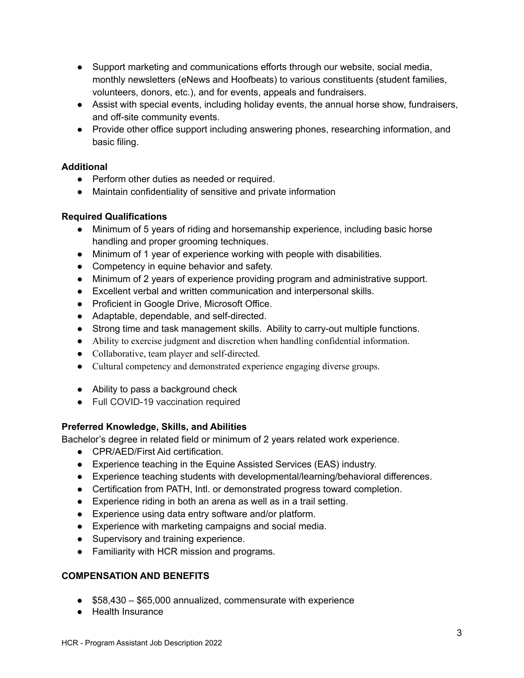- Support marketing and communications efforts through our website, social media, monthly newsletters (eNews and Hoofbeats) to various constituents (student families, volunteers, donors, etc.), and for events, appeals and fundraisers.
- Assist with special events, including holiday events, the annual horse show, fundraisers, and off-site community events.
- Provide other office support including answering phones, researching information, and basic filing.

## **Additional**

- Perform other duties as needed or required.
- Maintain confidentiality of sensitive and private information

## **Required Qualifications**

- Minimum of 5 years of riding and horsemanship experience, including basic horse handling and proper grooming techniques.
- Minimum of 1 year of experience working with people with disabilities.
- Competency in equine behavior and safety.
- Minimum of 2 years of experience providing program and administrative support.
- Excellent verbal and written communication and interpersonal skills.
- Proficient in Google Drive, Microsoft Office.
- Adaptable, dependable, and self-directed.
- Strong time and task management skills. Ability to carry-out multiple functions.
- Ability to exercise judgment and discretion when handling confidential information.
- Collaborative, team player and self-directed.
- Cultural competency and demonstrated experience engaging diverse groups.
- Ability to pass a background check
- Full COVID-19 vaccination required

# **Preferred Knowledge, Skills, and Abilities**

Bachelor's degree in related field or minimum of 2 years related work experience.

- CPR/AED/First Aid certification.
- Experience teaching in the Equine Assisted Services (EAS) industry.
- Experience teaching students with developmental/learning/behavioral differences.
- Certification from PATH, Intl. or demonstrated progress toward completion.
- Experience riding in both an arena as well as in a trail setting.
- Experience using data entry software and/or platform.
- Experience with marketing campaigns and social media.
- Supervisory and training experience.
- Familiarity with HCR mission and programs.

# **COMPENSATION AND BENEFITS**

- \$58,430 \$65,000 annualized, commensurate with experience
- Health Insurance